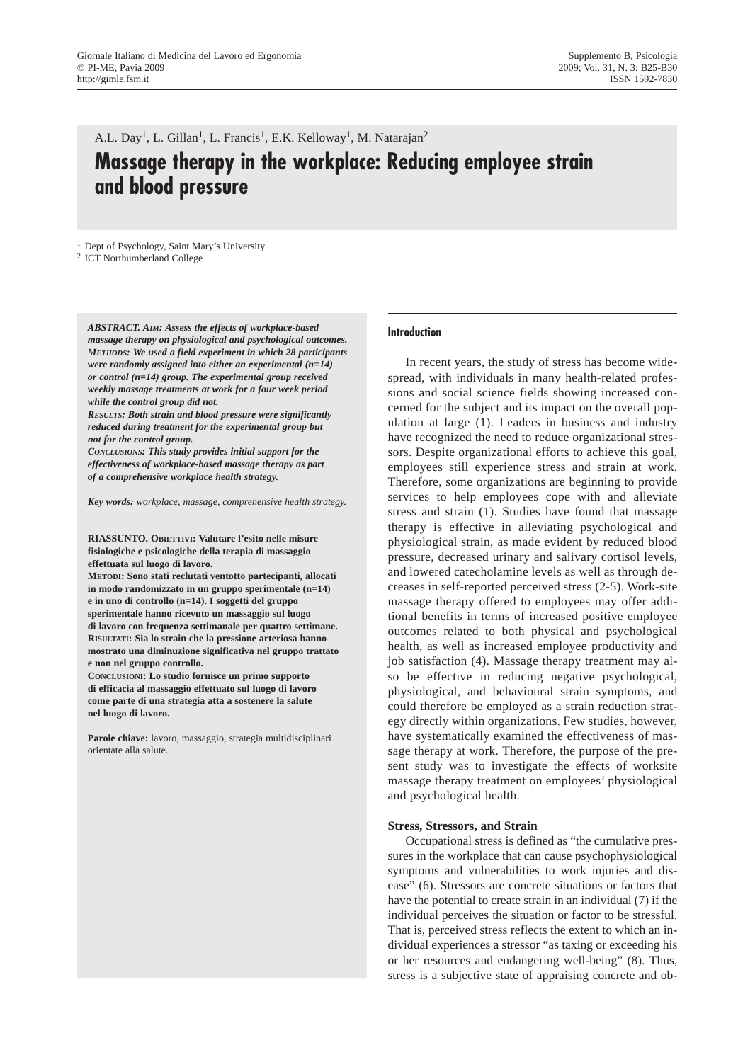A.L. Day<sup>1</sup>, L. Gillan<sup>1</sup>, L. Francis<sup>1</sup>, E.K. Kelloway<sup>1</sup>, M. Natarajan<sup>2</sup> **Massage therapy in the workplace: Reducing employee strain and blood pressure**

<sup>1</sup> Dept of Psychology, Saint Mary's University

<sup>2</sup> ICT Northumberland College

*ABSTRACT. AIM: Assess the effects of workplace-based massage therapy on physiological and psychological outcomes. METHODS: We used a field experiment in which 28 participants were randomly assigned into either an experimental (n=14) or control (n=14) group. The experimental group received weekly massage treatments at work for a four week period while the control group did not.* 

*RESULTS: Both strain and blood pressure were significantly reduced during treatment for the experimental group but not for the control group.* 

*CONCLUSIONS: This study provides initial support for the effectiveness of workplace-based massage therapy as part of a comprehensive workplace health strategy.*

*Key words: workplace, massage, comprehensive health strategy.*

**RIASSUNTO. OBIETTIVI: Valutare l'esito nelle misure fisiologiche e psicologiche della terapia di massaggio effettuata sul luogo di lavoro.**

**METODI: Sono stati reclutati ventotto partecipanti, allocati in modo randomizzato in un gruppo sperimentale (n=14) e in uno di controllo (n=14). I soggetti del gruppo sperimentale hanno ricevuto un massaggio sul luogo di lavoro con frequenza settimanale per quattro settimane. RISULTATI: Sia lo strain che la pressione arteriosa hanno mostrato una diminuzione significativa nel gruppo trattato e non nel gruppo controllo.** 

**CONCLUSIONI: Lo studio fornisce un primo supporto di efficacia al massaggio effettuato sul luogo di lavoro come parte di una strategia atta a sostenere la salute nel luogo di lavoro.**

**Parole chiave:** lavoro, massaggio, strategia multidisciplinari orientate alla salute.

## **Introduction**

In recent years, the study of stress has become widespread, with individuals in many health-related professions and social science fields showing increased concerned for the subject and its impact on the overall population at large (1). Leaders in business and industry have recognized the need to reduce organizational stressors. Despite organizational efforts to achieve this goal, employees still experience stress and strain at work. Therefore, some organizations are beginning to provide services to help employees cope with and alleviate stress and strain (1). Studies have found that massage therapy is effective in alleviating psychological and physiological strain, as made evident by reduced blood pressure, decreased urinary and salivary cortisol levels, and lowered catecholamine levels as well as through decreases in self-reported perceived stress (2-5). Work-site massage therapy offered to employees may offer additional benefits in terms of increased positive employee outcomes related to both physical and psychological health, as well as increased employee productivity and job satisfaction (4). Massage therapy treatment may also be effective in reducing negative psychological, physiological, and behavioural strain symptoms, and could therefore be employed as a strain reduction strategy directly within organizations. Few studies, however, have systematically examined the effectiveness of massage therapy at work. Therefore, the purpose of the present study was to investigate the effects of worksite massage therapy treatment on employees' physiological and psychological health.

### **Stress, Stressors, and Strain**

Occupational stress is defined as "the cumulative pressures in the workplace that can cause psychophysiological symptoms and vulnerabilities to work injuries and disease" (6). Stressors are concrete situations or factors that have the potential to create strain in an individual (7) if the individual perceives the situation or factor to be stressful. That is, perceived stress reflects the extent to which an individual experiences a stressor "as taxing or exceeding his or her resources and endangering well-being" (8). Thus, stress is a subjective state of appraising concrete and ob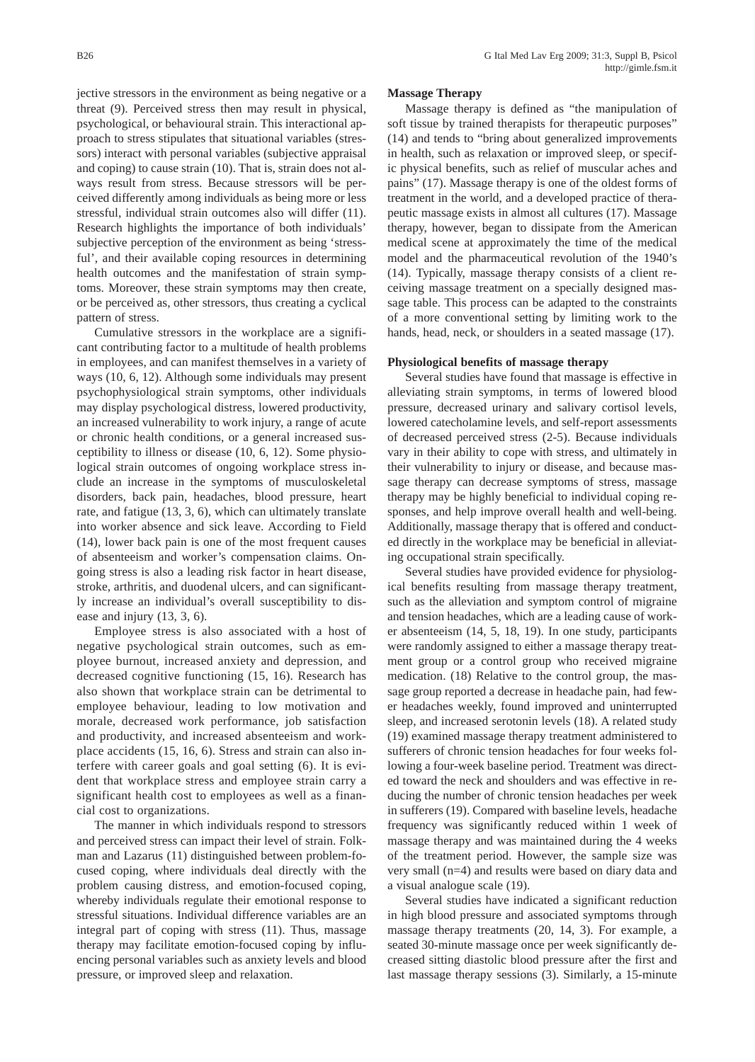jective stressors in the environment as being negative or a threat (9). Perceived stress then may result in physical, psychological, or behavioural strain. This interactional approach to stress stipulates that situational variables (stressors) interact with personal variables (subjective appraisal and coping) to cause strain (10). That is, strain does not always result from stress. Because stressors will be perceived differently among individuals as being more or less stressful, individual strain outcomes also will differ (11). Research highlights the importance of both individuals' subjective perception of the environment as being 'stressful', and their available coping resources in determining health outcomes and the manifestation of strain symptoms. Moreover, these strain symptoms may then create,

pattern of stress. Cumulative stressors in the workplace are a significant contributing factor to a multitude of health problems in employees, and can manifest themselves in a variety of ways (10, 6, 12). Although some individuals may present psychophysiological strain symptoms, other individuals may display psychological distress, lowered productivity, an increased vulnerability to work injury, a range of acute or chronic health conditions, or a general increased susceptibility to illness or disease (10, 6, 12). Some physiological strain outcomes of ongoing workplace stress include an increase in the symptoms of musculoskeletal disorders, back pain, headaches, blood pressure, heart rate, and fatigue (13, 3, 6), which can ultimately translate into worker absence and sick leave. According to Field (14), lower back pain is one of the most frequent causes of absenteeism and worker's compensation claims. Ongoing stress is also a leading risk factor in heart disease, stroke, arthritis, and duodenal ulcers, and can significantly increase an individual's overall susceptibility to disease and injury (13, 3, 6).

or be perceived as, other stressors, thus creating a cyclical

Employee stress is also associated with a host of negative psychological strain outcomes, such as employee burnout, increased anxiety and depression, and decreased cognitive functioning (15, 16). Research has also shown that workplace strain can be detrimental to employee behaviour, leading to low motivation and morale, decreased work performance, job satisfaction and productivity, and increased absenteeism and workplace accidents (15, 16, 6). Stress and strain can also interfere with career goals and goal setting (6). It is evident that workplace stress and employee strain carry a significant health cost to employees as well as a financial cost to organizations.

The manner in which individuals respond to stressors and perceived stress can impact their level of strain. Folkman and Lazarus (11) distinguished between problem-focused coping, where individuals deal directly with the problem causing distress, and emotion-focused coping, whereby individuals regulate their emotional response to stressful situations. Individual difference variables are an integral part of coping with stress (11). Thus, massage therapy may facilitate emotion-focused coping by influencing personal variables such as anxiety levels and blood pressure, or improved sleep and relaxation.

#### **Massage Therapy**

Massage therapy is defined as "the manipulation of soft tissue by trained therapists for therapeutic purposes" (14) and tends to "bring about generalized improvements in health, such as relaxation or improved sleep, or specific physical benefits, such as relief of muscular aches and pains" (17). Massage therapy is one of the oldest forms of treatment in the world, and a developed practice of therapeutic massage exists in almost all cultures (17). Massage therapy, however, began to dissipate from the American medical scene at approximately the time of the medical model and the pharmaceutical revolution of the 1940's (14). Typically, massage therapy consists of a client receiving massage treatment on a specially designed massage table. This process can be adapted to the constraints of a more conventional setting by limiting work to the hands, head, neck, or shoulders in a seated massage (17).

#### **Physiological benefits of massage therapy**

Several studies have found that massage is effective in alleviating strain symptoms, in terms of lowered blood pressure, decreased urinary and salivary cortisol levels, lowered catecholamine levels, and self-report assessments of decreased perceived stress (2-5). Because individuals vary in their ability to cope with stress, and ultimately in their vulnerability to injury or disease, and because massage therapy can decrease symptoms of stress, massage therapy may be highly beneficial to individual coping responses, and help improve overall health and well-being. Additionally, massage therapy that is offered and conducted directly in the workplace may be beneficial in alleviating occupational strain specifically.

Several studies have provided evidence for physiological benefits resulting from massage therapy treatment, such as the alleviation and symptom control of migraine and tension headaches, which are a leading cause of worker absenteeism (14, 5, 18, 19). In one study, participants were randomly assigned to either a massage therapy treatment group or a control group who received migraine medication. (18) Relative to the control group, the massage group reported a decrease in headache pain, had fewer headaches weekly, found improved and uninterrupted sleep, and increased serotonin levels (18). A related study (19) examined massage therapy treatment administered to sufferers of chronic tension headaches for four weeks following a four-week baseline period. Treatment was directed toward the neck and shoulders and was effective in reducing the number of chronic tension headaches per week in sufferers (19). Compared with baseline levels, headache frequency was significantly reduced within 1 week of massage therapy and was maintained during the 4 weeks of the treatment period. However, the sample size was very small (n=4) and results were based on diary data and a visual analogue scale (19).

Several studies have indicated a significant reduction in high blood pressure and associated symptoms through massage therapy treatments (20, 14, 3). For example, a seated 30-minute massage once per week significantly decreased sitting diastolic blood pressure after the first and last massage therapy sessions (3). Similarly, a 15-minute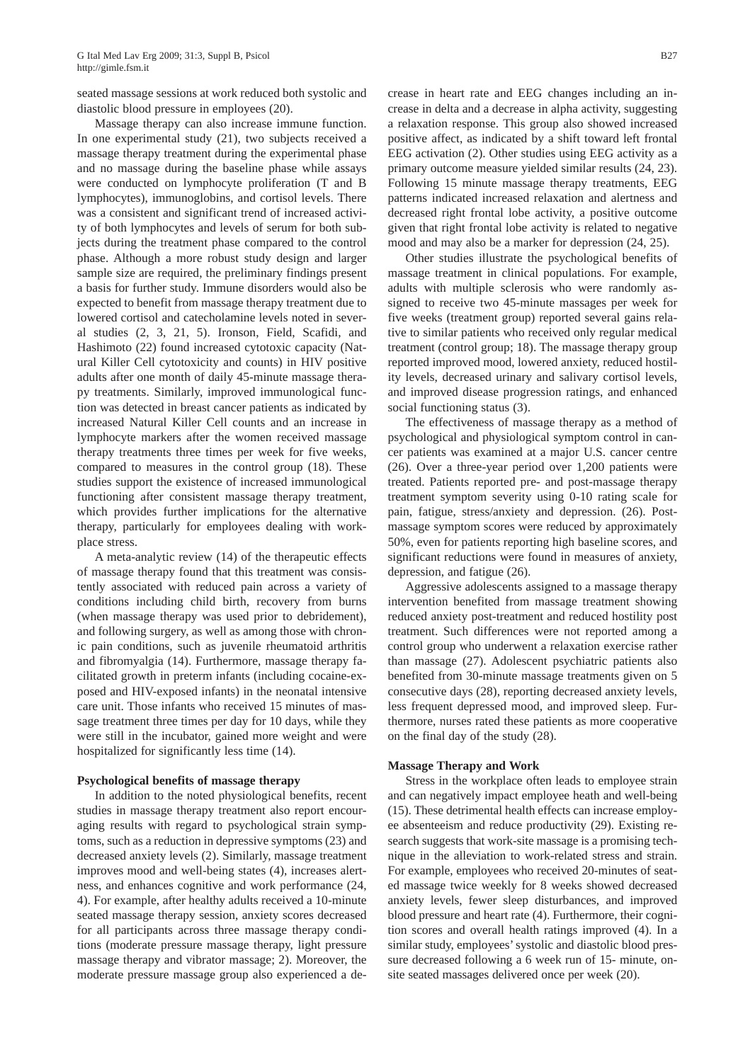seated massage sessions at work reduced both systolic and diastolic blood pressure in employees (20).

Massage therapy can also increase immune function. In one experimental study (21), two subjects received a massage therapy treatment during the experimental phase and no massage during the baseline phase while assays were conducted on lymphocyte proliferation (T and B lymphocytes), immunoglobins, and cortisol levels. There was a consistent and significant trend of increased activity of both lymphocytes and levels of serum for both subjects during the treatment phase compared to the control phase. Although a more robust study design and larger sample size are required, the preliminary findings present a basis for further study. Immune disorders would also be expected to benefit from massage therapy treatment due to lowered cortisol and catecholamine levels noted in several studies (2, 3, 21, 5). Ironson, Field, Scafidi, and Hashimoto (22) found increased cytotoxic capacity (Natural Killer Cell cytotoxicity and counts) in HIV positive adults after one month of daily 45-minute massage therapy treatments. Similarly, improved immunological function was detected in breast cancer patients as indicated by increased Natural Killer Cell counts and an increase in lymphocyte markers after the women received massage therapy treatments three times per week for five weeks, compared to measures in the control group (18). These studies support the existence of increased immunological functioning after consistent massage therapy treatment, which provides further implications for the alternative therapy, particularly for employees dealing with workplace stress.

A meta-analytic review (14) of the therapeutic effects of massage therapy found that this treatment was consistently associated with reduced pain across a variety of conditions including child birth, recovery from burns (when massage therapy was used prior to debridement), and following surgery, as well as among those with chronic pain conditions, such as juvenile rheumatoid arthritis and fibromyalgia (14). Furthermore, massage therapy facilitated growth in preterm infants (including cocaine-exposed and HIV-exposed infants) in the neonatal intensive care unit. Those infants who received 15 minutes of massage treatment three times per day for 10 days, while they were still in the incubator, gained more weight and were hospitalized for significantly less time (14).

## **Psychological benefits of massage therapy**

In addition to the noted physiological benefits, recent studies in massage therapy treatment also report encouraging results with regard to psychological strain symptoms, such as a reduction in depressive symptoms (23) and decreased anxiety levels (2). Similarly, massage treatment improves mood and well-being states (4), increases alertness, and enhances cognitive and work performance (24, 4). For example, after healthy adults received a 10-minute seated massage therapy session, anxiety scores decreased for all participants across three massage therapy conditions (moderate pressure massage therapy, light pressure massage therapy and vibrator massage; 2). Moreover, the moderate pressure massage group also experienced a decrease in heart rate and EEG changes including an increase in delta and a decrease in alpha activity, suggesting a relaxation response. This group also showed increased positive affect, as indicated by a shift toward left frontal EEG activation (2). Other studies using EEG activity as a primary outcome measure yielded similar results (24, 23). Following 15 minute massage therapy treatments, EEG patterns indicated increased relaxation and alertness and decreased right frontal lobe activity, a positive outcome given that right frontal lobe activity is related to negative mood and may also be a marker for depression (24, 25).

Other studies illustrate the psychological benefits of massage treatment in clinical populations. For example, adults with multiple sclerosis who were randomly assigned to receive two 45-minute massages per week for five weeks (treatment group) reported several gains relative to similar patients who received only regular medical treatment (control group; 18). The massage therapy group reported improved mood, lowered anxiety, reduced hostility levels, decreased urinary and salivary cortisol levels, and improved disease progression ratings, and enhanced social functioning status (3).

The effectiveness of massage therapy as a method of psychological and physiological symptom control in cancer patients was examined at a major U.S. cancer centre (26). Over a three-year period over 1,200 patients were treated. Patients reported pre- and post-massage therapy treatment symptom severity using 0-10 rating scale for pain, fatigue, stress/anxiety and depression. (26). Postmassage symptom scores were reduced by approximately 50%, even for patients reporting high baseline scores, and significant reductions were found in measures of anxiety, depression, and fatigue (26).

Aggressive adolescents assigned to a massage therapy intervention benefited from massage treatment showing reduced anxiety post-treatment and reduced hostility post treatment. Such differences were not reported among a control group who underwent a relaxation exercise rather than massage (27). Adolescent psychiatric patients also benefited from 30-minute massage treatments given on 5 consecutive days (28), reporting decreased anxiety levels, less frequent depressed mood, and improved sleep. Furthermore, nurses rated these patients as more cooperative on the final day of the study (28).

### **Massage Therapy and Work**

Stress in the workplace often leads to employee strain and can negatively impact employee heath and well-being (15). These detrimental health effects can increase employee absenteeism and reduce productivity (29). Existing research suggests that work-site massage is a promising technique in the alleviation to work-related stress and strain. For example, employees who received 20-minutes of seated massage twice weekly for 8 weeks showed decreased anxiety levels, fewer sleep disturbances, and improved blood pressure and heart rate (4). Furthermore, their cognition scores and overall health ratings improved (4). In a similar study, employees' systolic and diastolic blood pressure decreased following a 6 week run of 15- minute, onsite seated massages delivered once per week (20).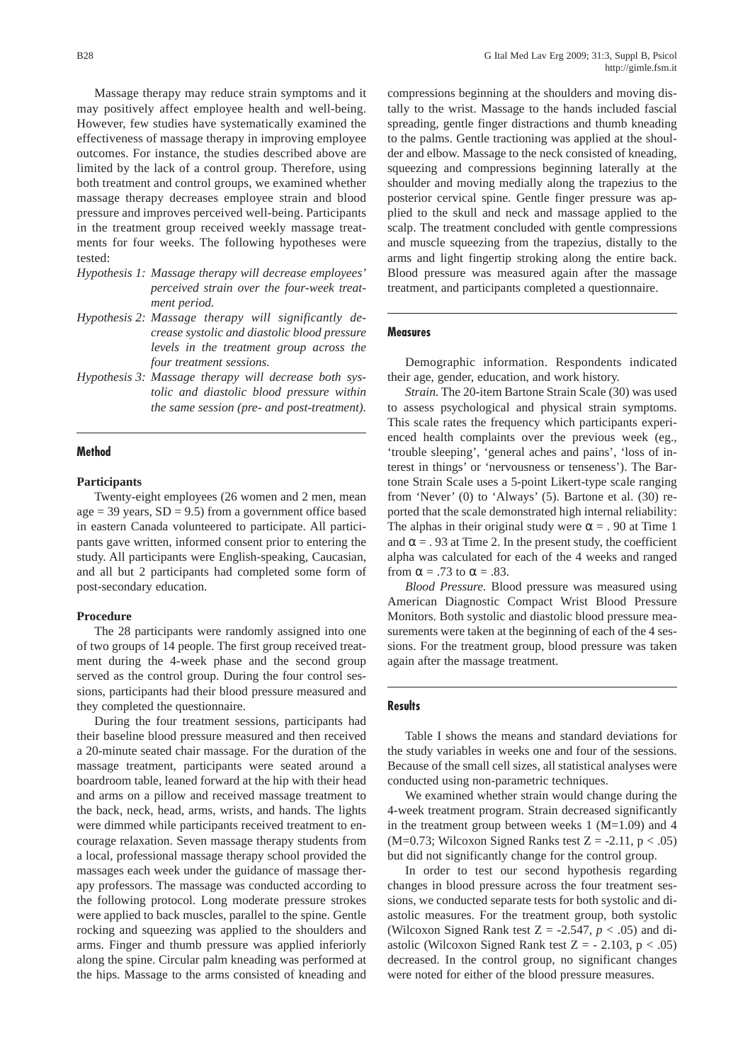Massage therapy may reduce strain symptoms and it may positively affect employee health and well-being. However, few studies have systematically examined the effectiveness of massage therapy in improving employee outcomes. For instance, the studies described above are limited by the lack of a control group. Therefore, using both treatment and control groups, we examined whether massage therapy decreases employee strain and blood pressure and improves perceived well-being. Participants in the treatment group received weekly massage treatments for four weeks. The following hypotheses were tested:

- *Hypothesis 1: Massage therapy will decrease employees' perceived strain over the four-week treatment period.*
- *Hypothesis 2: Massage therapy will significantly decrease systolic and diastolic blood pressure levels in the treatment group across the four treatment sessions.*
- *Hypothesis 3: Massage therapy will decrease both systolic and diastolic blood pressure within the same session (pre- and post-treatment).*

# **Method**

### **Participants**

Twenty-eight employees (26 women and 2 men, mean age  $= 39$  years,  $SD = 9.5$ ) from a government office based in eastern Canada volunteered to participate. All participants gave written, informed consent prior to entering the study. All participants were English-speaking, Caucasian, and all but 2 participants had completed some form of post-secondary education.

### **Procedure**

The 28 participants were randomly assigned into one of two groups of 14 people. The first group received treatment during the 4-week phase and the second group served as the control group. During the four control sessions, participants had their blood pressure measured and they completed the questionnaire.

During the four treatment sessions, participants had their baseline blood pressure measured and then received a 20-minute seated chair massage. For the duration of the massage treatment, participants were seated around a boardroom table, leaned forward at the hip with their head and arms on a pillow and received massage treatment to the back, neck, head, arms, wrists, and hands. The lights were dimmed while participants received treatment to encourage relaxation. Seven massage therapy students from a local, professional massage therapy school provided the massages each week under the guidance of massage therapy professors. The massage was conducted according to the following protocol. Long moderate pressure strokes were applied to back muscles, parallel to the spine. Gentle rocking and squeezing was applied to the shoulders and arms. Finger and thumb pressure was applied inferiorly along the spine. Circular palm kneading was performed at the hips. Massage to the arms consisted of kneading and compressions beginning at the shoulders and moving distally to the wrist. Massage to the hands included fascial spreading, gentle finger distractions and thumb kneading to the palms. Gentle tractioning was applied at the shoulder and elbow. Massage to the neck consisted of kneading, squeezing and compressions beginning laterally at the shoulder and moving medially along the trapezius to the posterior cervical spine. Gentle finger pressure was applied to the skull and neck and massage applied to the scalp. The treatment concluded with gentle compressions and muscle squeezing from the trapezius, distally to the arms and light fingertip stroking along the entire back. Blood pressure was measured again after the massage treatment, and participants completed a questionnaire.

# **Measures**

Demographic information. Respondents indicated their age, gender, education, and work history.

*Strain.* The 20-item Bartone Strain Scale (30) was used to assess psychological and physical strain symptoms. This scale rates the frequency which participants experienced health complaints over the previous week (eg., 'trouble sleeping', 'general aches and pains', 'loss of interest in things' or 'nervousness or tenseness'). The Bartone Strain Scale uses a 5-point Likert-type scale ranging from 'Never' (0) to 'Always' (5). Bartone et al. (30) reported that the scale demonstrated high internal reliability: The alphas in their original study were  $\alpha = 0.90$  at Time 1 and  $\alpha = 0.93$  at Time 2. In the present study, the coefficient alpha was calculated for each of the 4 weeks and ranged from  $\alpha = .73$  to  $\alpha = .83$ .

*Blood Pressure.* Blood pressure was measured using American Diagnostic Compact Wrist Blood Pressure Monitors. Both systolic and diastolic blood pressure measurements were taken at the beginning of each of the 4 sessions. For the treatment group, blood pressure was taken again after the massage treatment.

### **Results**

Table I shows the means and standard deviations for the study variables in weeks one and four of the sessions. Because of the small cell sizes, all statistical analyses were conducted using non-parametric techniques.

We examined whether strain would change during the 4-week treatment program. Strain decreased significantly in the treatment group between weeks  $1$  (M=1.09) and  $4$ (M=0.73; Wilcoxon Signed Ranks test  $Z = -2.11$ ,  $p < .05$ ) but did not significantly change for the control group.

In order to test our second hypothesis regarding changes in blood pressure across the four treatment sessions, we conducted separate tests for both systolic and diastolic measures. For the treatment group, both systolic (Wilcoxon Signed Rank test  $Z = -2.547$ ,  $p < .05$ ) and diastolic (Wilcoxon Signed Rank test  $Z = -2.103$ ,  $p < .05$ ) decreased. In the control group, no significant changes were noted for either of the blood pressure measures.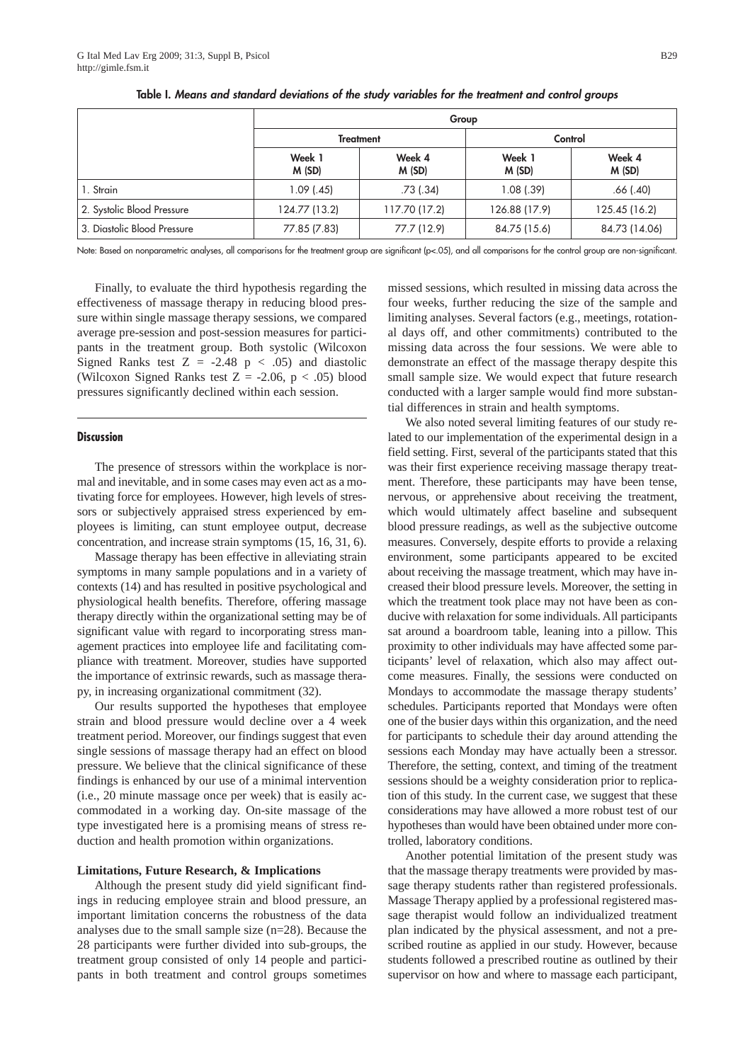|                             | Group            |                 |                 |                 |
|-----------------------------|------------------|-----------------|-----------------|-----------------|
|                             | <b>Treatment</b> |                 | Control         |                 |
|                             | Week 1<br>M(SD)  | Week 4<br>M(SD) | Week 1<br>M(SD) | Week 4<br>M(SD) |
| 1. Strain                   | $1.09$ (.45)     | $.73$ $(.34)$   | $1.08$ $(.39)$  | $.66$ $(.40)$   |
| 2. Systolic Blood Pressure  | 124.77 (13.2)    | 117.70 (17.2)   | 126.88 (17.9)   | 125.45 (16.2)   |
| 3. Diastolic Blood Pressure | 77.85 (7.83)     | 77.7 (12.9)     | 84.75 (15.6)    | 84.73 (14.06)   |

**Table I.** *Means and standard deviations of the study variables for the treatment and control groups*

Note: Based on nonparametric analyses, all comparisons for the treatment group are significant (p<.05), and all comparisons for the control group are non-significant.

Finally, to evaluate the third hypothesis regarding the effectiveness of massage therapy in reducing blood pressure within single massage therapy sessions, we compared average pre-session and post-session measures for participants in the treatment group. Both systolic (Wilcoxon Signed Ranks test  $Z = -2.48$   $p < .05$ ) and diastolic (Wilcoxon Signed Ranks test  $Z = -2.06$ ,  $p < .05$ ) blood pressures significantly declined within each session.

## **Discussion**

The presence of stressors within the workplace is normal and inevitable, and in some cases may even act as a motivating force for employees. However, high levels of stressors or subjectively appraised stress experienced by employees is limiting, can stunt employee output, decrease concentration, and increase strain symptoms (15, 16, 31, 6).

Massage therapy has been effective in alleviating strain symptoms in many sample populations and in a variety of contexts (14) and has resulted in positive psychological and physiological health benefits. Therefore, offering massage therapy directly within the organizational setting may be of significant value with regard to incorporating stress management practices into employee life and facilitating compliance with treatment. Moreover, studies have supported the importance of extrinsic rewards, such as massage therapy, in increasing organizational commitment (32).

Our results supported the hypotheses that employee strain and blood pressure would decline over a 4 week treatment period. Moreover, our findings suggest that even single sessions of massage therapy had an effect on blood pressure. We believe that the clinical significance of these findings is enhanced by our use of a minimal intervention (i.e., 20 minute massage once per week) that is easily accommodated in a working day. On-site massage of the type investigated here is a promising means of stress reduction and health promotion within organizations.

### **Limitations, Future Research, & Implications**

Although the present study did yield significant findings in reducing employee strain and blood pressure, an important limitation concerns the robustness of the data analyses due to the small sample size (n=28). Because the 28 participants were further divided into sub-groups, the treatment group consisted of only 14 people and participants in both treatment and control groups sometimes missed sessions, which resulted in missing data across the four weeks, further reducing the size of the sample and limiting analyses. Several factors (e.g., meetings, rotational days off, and other commitments) contributed to the missing data across the four sessions. We were able to demonstrate an effect of the massage therapy despite this small sample size. We would expect that future research conducted with a larger sample would find more substantial differences in strain and health symptoms.

We also noted several limiting features of our study related to our implementation of the experimental design in a field setting. First, several of the participants stated that this was their first experience receiving massage therapy treatment. Therefore, these participants may have been tense, nervous, or apprehensive about receiving the treatment, which would ultimately affect baseline and subsequent blood pressure readings, as well as the subjective outcome measures. Conversely, despite efforts to provide a relaxing environment, some participants appeared to be excited about receiving the massage treatment, which may have increased their blood pressure levels. Moreover, the setting in which the treatment took place may not have been as conducive with relaxation for some individuals. All participants sat around a boardroom table, leaning into a pillow. This proximity to other individuals may have affected some participants' level of relaxation, which also may affect outcome measures. Finally, the sessions were conducted on Mondays to accommodate the massage therapy students' schedules. Participants reported that Mondays were often one of the busier days within this organization, and the need for participants to schedule their day around attending the sessions each Monday may have actually been a stressor. Therefore, the setting, context, and timing of the treatment sessions should be a weighty consideration prior to replication of this study. In the current case, we suggest that these considerations may have allowed a more robust test of our hypotheses than would have been obtained under more controlled, laboratory conditions.

Another potential limitation of the present study was that the massage therapy treatments were provided by massage therapy students rather than registered professionals. Massage Therapy applied by a professional registered massage therapist would follow an individualized treatment plan indicated by the physical assessment, and not a prescribed routine as applied in our study. However, because students followed a prescribed routine as outlined by their supervisor on how and where to massage each participant,